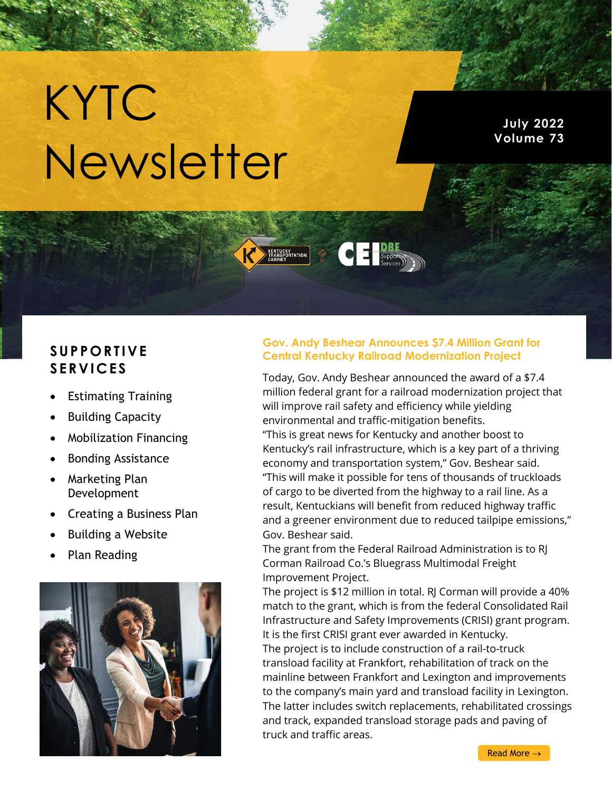# KYTC Newsletter

**July 2022 Volume 73**

## **S UP P O RT IVE S ERV IC ES**

- Estimating Training
- Building Capacity
- Mobilization Financing
- Bonding Assistance
- Marketing Plan Development
- Creating a Business Plan
- Building a Website
- Plan Reading



### **Gov. Andy Beshear Announces \$7.4 Million Grant for Central Kentucky Railroad Modernization Project**

**CLE Supportive** 

**KENTUCKY**<br>FRANSPORTATION

Today, Gov. Andy Beshear announced the award of a \$7.4 million federal grant for a railroad modernization project that will improve rail safety and efficiency while yielding environmental and traffic-mitigation benefits.

"This is great news for Kentucky and another boost to Kentucky's rail infrastructure, which is a key part of a thriving economy and transportation system," Gov. Beshear said. "This will make it possible for tens of thousands of truckloads of cargo to be diverted from the highway to a rail line. As a result, Kentuckians will benefit from reduced highway traffic and a greener environment due to reduced tailpipe emissions," Gov. Beshear said.

The grant from the Federal Railroad Administration is to RJ Corman Railroad Co.'s Bluegrass Multimodal Freight Improvement Project.

The project is \$12 million in total. RJ Corman will provide a 40% match to the grant, which is from the federal Consolidated Rail Infrastructure and Safety Improvements (CRISI) grant program. It is the first CRISI grant ever awarded in Kentucky.

The project is to include construction of a rail-to-truck transload facility at Frankfort, rehabilitation of track on the mainline between Frankfort and Lexington and improvements to the company's main yard and transload facility in Lexington. The latter includes switch replacements, rehabilitated crossings and track, expanded transload storage pads and paving of truck and traffic areas.